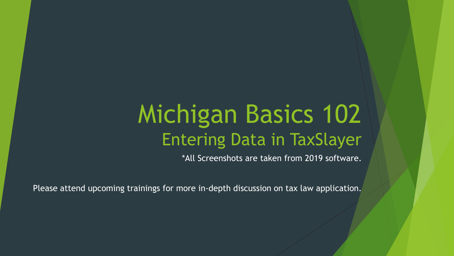# Michigan Basics 102 Entering Data in TaxSlayer

\*All Screenshots are taken from 2019 software.

Please attend upcoming trainings for more in-depth discussion on tax law application.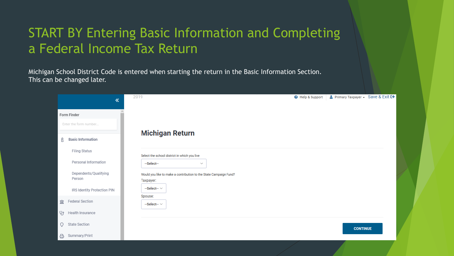# START BY Entering Basic Information and Completing a Federal Income Tax Return

Michigan School District Code is entered when starting the return in the Basic Information Section. This can be changed later.

|        | 《                                                                                                                                   | 2019<br><b>@</b> Help & Support                                                                                                                                                                        | ▲ Primary Taxpayer - Save & Exit C→ |  |
|--------|-------------------------------------------------------------------------------------------------------------------------------------|--------------------------------------------------------------------------------------------------------------------------------------------------------------------------------------------------------|-------------------------------------|--|
|        | Form Finder<br>Enter the form number                                                                                                |                                                                                                                                                                                                        |                                     |  |
| ß      | <b>Basic Information</b><br>Filing Status<br>Personal Information<br>Dependents/Qualifying<br>Person<br>IRS Identity Protection PIN | <b>Michigan Return</b><br>Select the school district in which you live<br>--Select--<br>$\sim$<br>Would you like to make a contribution to the State Campaign Fund?<br>Taxpayer:<br>$-$ Select $ \vee$ |                                     |  |
| 盒<br>V | Federal Section<br>Health Insurance                                                                                                 | Spouse:<br>$-$ Select $ \vee$                                                                                                                                                                          |                                     |  |
| Q<br>읍 | State Section<br>Summary/Print                                                                                                      |                                                                                                                                                                                                        | <b>CONTINUE</b>                     |  |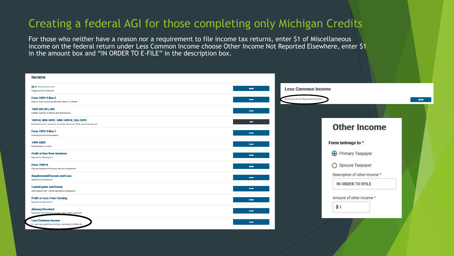#### Creating a federal AGI for those completing only Michigan Credits

For those who neither have a reason nor a requirement to file income tax returns, enter \$1 of Miscellaneous income on the federal return under Less Common Income choose Other Income Not Reported Elsewhere, enter \$1 in the amount box and "IN ORDER TO E-FILE" in the description box.

| <b>Income</b>                                                                                                                            |                                     |              |
|------------------------------------------------------------------------------------------------------------------------------------------|-------------------------------------|--------------|
| W-2 (Mest Common Form)<br>10000<br>Wages and tax statement                                                                               | <b>Less Common Income</b>           |              |
| <b>Form 1099-G Box 2</b><br><b>BOOM</b><br>State or local income tax refunds, credits, or offsets                                        | Other Income Not Reported Elsewhere | <b>BEGIN</b> |
| <b>1099-DIV, INT, OID</b><br>-<br>Interest income, dividends, and distributions                                                          |                                     |              |
| 1099-R, RRB-1099, RRB-1099-R, SSA-1099<br><b>CONT</b><br>Distributions from pensions, annuities, retirement, IRAs, social security, etc. | <b>Other Income</b>                 |              |
| <b>Form 1099-G Box 1</b><br>-<br>Unemployment Compensation                                                                               |                                     |              |
| <b>1099-MISC</b><br><b>BERRY</b><br>Miscellaneous income                                                                                 | Form belongs to *                   |              |
| <b>Profit or loss from business</b><br>-<br>Reported on Schedule C                                                                       | ● Primary Taxpayer                  |              |
| <b>Form 1099-K</b><br>5000<br>Payment card and third party network transactions                                                          | ○ Spouse Taxpayer                   |              |
| <b>Supplemental Income and Loss</b><br>$\frac{1}{2}$<br>Reported on Schedule E                                                           | Description of other income *       |              |
| <b>Capital gains and losses</b><br>5500<br>May receive Form 1099-B, reported on Schedule D                                               | IN ORDER TO EFILE                   |              |
| <b>Profit or Loss From Farming</b><br>1000<br>Reported on Schedule F                                                                     | Amount of other income *            |              |
| <b>Alimony Received</b><br>8000<br>Payments from a former spouse under a legal agreement                                                 | \$1                                 |              |
| <b>Less Common Income</b><br><b>BERNIN</b><br>K-1 earnings, gambling winnings, cancellation of debt, etc.                                |                                     |              |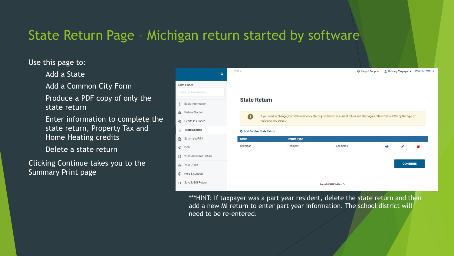# State Return Page – Michigan return started by software

#### Use this page to:

Add a State

Add a Common City Form

Produce a PDF copy of only the state return

Enter information to complete the state return, Property Tax and Home Heating credits

Delete a state return

Clicking Continue takes you to the Summary Print page



\*\*\*HINT: If taxpayer was a part year resident, delete the state return and then add a new MI return to enter part year information. The school district will need to be re-entered.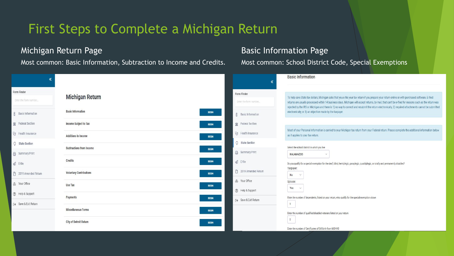# First Steps to Complete a Michigan Return

#### Michigan Return Page

Most common: Basic Information, Subtraction to Income and Credits.

|                                                           |                                                     |                                                                                           | <b>Basic Information</b>                                                                                                                                                                                                                                                                                                                                                                                                                                                                                                           |
|-----------------------------------------------------------|-----------------------------------------------------|-------------------------------------------------------------------------------------------|------------------------------------------------------------------------------------------------------------------------------------------------------------------------------------------------------------------------------------------------------------------------------------------------------------------------------------------------------------------------------------------------------------------------------------------------------------------------------------------------------------------------------------|
| Form Finder<br>Enter the form number<br>Basic Information | <b>Michigan Return</b><br><b>Basic Information</b>  | Form Finder<br>Enter the form number<br><b>BEGIN</b><br><b>8</b> Basic Information        | To help save State tax dollars, Michigan asks that you e-file your tax return if you prepare your return online or with purchased software. E-filed<br>returns are usually processed within 14 business days. Michigan will accept returns, by mail, that can't be e-filed for reasons such as the return was<br>rejected by the IRS or Michigan and there is 1) no way to correct and resubmit the return electronically, 2) required attachments cannot be submitted<br>electronically, or 3) an objection made by the taxpayer. |
| Federal Section<br>Uy Health Insurance                    | Income Subject to Tax<br><b>Additions to Income</b> | Federal Section<br><b>BEGIN</b><br>Uy Health Insurance<br><b>BEGIN</b>                    | Most of your Personal Information is carried to your Michigan tax return from your Federal return. Please complete the additional information below<br>as it applies to your tax return.                                                                                                                                                                                                                                                                                                                                           |
| C State Section<br><b>△</b> Summary/Print                 | <b>Subtractions from Income</b>                     | C State Section<br><b>BEGIN</b><br>Summary/Print                                          | Select the school district in which you live<br>KALAMAZ00<br>$\vee$                                                                                                                                                                                                                                                                                                                                                                                                                                                                |
| $\mathcal{A}$ E-file<br>2019 Amended Return               | Credits<br><b>Voluntary Contributions</b>           | <b>BEGIN</b><br>$\triangleleft$ E-file<br>2019 Amended Return<br><b>BEGIN</b>             | Do you qualify for a special exemption for the deaf, blind, hemiplegic, paraplegic, quadriplegic, or totally and permanently disabled?<br>Taxpayer:<br>No<br>$\vee$                                                                                                                                                                                                                                                                                                                                                                |
| <b>e</b> Your Office<br><b>3</b> Help & Support           | <b>Use Tax</b><br>Payments                          | <b>4 Your Office</b><br><b>BEGIN</b><br>2 Help & Support<br>BEGIN<br>□ Save & Exit Return | Spouse:<br>Yes<br>$\vee$<br>Enter the number of dependents, listed on your return, who qualify for the special exemption above                                                                                                                                                                                                                                                                                                                                                                                                     |
| □ Save & Exit Return                                      | <b>Miscellaneous Forms</b>                          | <b>BEGIN</b>                                                                              | $\vert$ 1<br>Enter the number of qualified disabled veterans listed on your return                                                                                                                                                                                                                                                                                                                                                                                                                                                 |
|                                                           | <b>City of Detroit Return</b>                       | <b>BEGIN</b>                                                                              | $\overline{0}$<br>Enter the number of Certificates of Stillbirth from MDHHS                                                                                                                                                                                                                                                                                                                                                                                                                                                        |

#### Basic Information Page

Most common: School District Code, Special Exemptions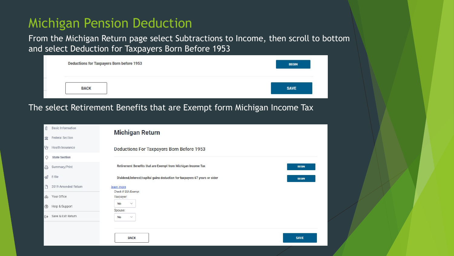### Michigan Pension Deduction

From the Michigan Return page select Subtractions to Income, then scroll to bottom and select Deduction for Taxpayers Born Before 1953

| <b>Deductions for Taxpayers Born before 1953</b> | <b>BEGIN</b> |
|--------------------------------------------------|--------------|
| <b>BACK</b>                                      | <b>SAVE</b>  |

#### The select Retirement Benefits that are Exempt form Michigan Income Tax

| 8                 | <b>Basic Information</b> | <b>Michigan Return</b>                                                                    |  |
|-------------------|--------------------------|-------------------------------------------------------------------------------------------|--|
| 盒                 | Federal Section          |                                                                                           |  |
| $\mathbb{Q}$      | Health Insurance         | Deductions For Taxpayers Born Before 1953                                                 |  |
| O                 | <b>State Section</b>     |                                                                                           |  |
| 0                 | Summary/Print            | Retirement Benefits that are Exempt from Michigan Income Tax<br><b>BEGIN</b>              |  |
| $\mathcal{Q}$     | E-file                   | Dividend/interest/capital gains deduction for taxpayers 67 years or older<br><b>BEGIN</b> |  |
| D                 | 2019 Amended Return      | learn more<br>Check if SSA Exempt                                                         |  |
| $\bigoplus$       | Your Office              | Taxpayer:                                                                                 |  |
| $\odot$           | Help & Support           | No<br>$\checkmark$<br>Spouse:                                                             |  |
| $\leftrightarrow$ | Save & Exit Return       | No<br>$\checkmark$                                                                        |  |
|                   |                          |                                                                                           |  |
|                   |                          | <b>BACK</b><br><b>SAVE</b>                                                                |  |
|                   |                          |                                                                                           |  |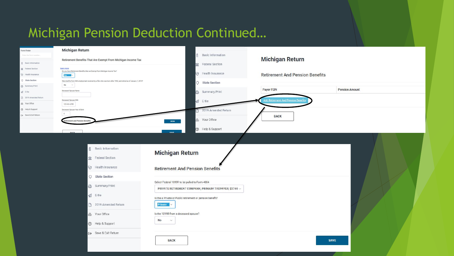# Michigan Pension Deduction Continued…

| Form Finder                            | <b>Michigan Return</b>                                                                                           |                                                                                                                                                                                   |                                             |                       |
|----------------------------------------|------------------------------------------------------------------------------------------------------------------|-----------------------------------------------------------------------------------------------------------------------------------------------------------------------------------|---------------------------------------------|-----------------------|
| Enter the form                         | Retirement Benefits That Are Exempt From Michigan Income Tax                                                     | <b>8</b> Basic Information                                                                                                                                                        | <b>Michigan Return</b>                      |                       |
| <b>8</b> Basic Information             |                                                                                                                  | Federal Section                                                                                                                                                                   |                                             |                       |
| Federal Section<br>Uy Health Insurance | learn more<br>Do you have Retirement Benefits that are Exempt from Michigan Income Tax?<br>Yes N                 | Uy Health Insurance                                                                                                                                                               | <b>Retirement And Pension Benefits</b>      |                       |
| C State Section                        | Were benfits from SSA employment received by a filer who was born after 1952, and retired as of January 1, 2013? |                                                                                                                                                                                   |                                             |                       |
| Summary/Print                          | No $\sim$                                                                                                        | C State Section                                                                                                                                                                   |                                             |                       |
| $\mathcal{A}$ E-file                   | Deceased Spouse Name                                                                                             | Summary/Print                                                                                                                                                                     | <b>Payer FEIN</b>                           | <b>Pension Amount</b> |
| 2019 Amended Return                    | Deceased Spouse SSN                                                                                              | $\triangleleft$ E-file                                                                                                                                                            | <u> Add Retirement And Pension Benefits</u> |                       |
| <b>46 Your Office</b>                  | 123-45-6789                                                                                                      |                                                                                                                                                                                   |                                             |                       |
| <b>2</b> Help & Support                | Deceased Spouse Year of Birth<br>$\overline{0}$                                                                  | 2019 Amended Return                                                                                                                                                               |                                             |                       |
| □ Save & Exit Return                   | etirement and Pension Benefit                                                                                    | <b>A</b> Your Office<br><b>BEGIN</b>                                                                                                                                              | <b>BACK</b>                                 |                       |
|                                        |                                                                                                                  | <b>3</b> Help & Support                                                                                                                                                           |                                             |                       |
|                                        | <b>DACK</b>                                                                                                      | <b>CAVE</b>                                                                                                                                                                       |                                             |                       |
|                                        | <b>8</b> Basic Information<br>Federal Section<br>Uy Health Insurance<br>C State Section<br>읍 Summary/Print       | <b>Michigan Return</b><br><b>Retirement And Pension Benefits</b><br>Select Federal 1099R to be pulled to Form 4884<br>PRIVATE RETIREMENT COMPANY, PRIMARY TAXPAYER, \$3744 $\vee$ |                                             |                       |
|                                        | $\mathcal{D}$ E-file                                                                                             | Is the a Private or Public retirement or pension benefit?                                                                                                                         |                                             |                       |
|                                        | 2019 Amended Return                                                                                              | <b>Private</b> $\vee$                                                                                                                                                             |                                             |                       |
|                                        | <b>e</b> Your Office                                                                                             | Is the 1099R from a deceased spouse?                                                                                                                                              |                                             |                       |
|                                        | <b>3</b> Help & Support                                                                                          | No<br>$\vee$                                                                                                                                                                      |                                             |                       |
|                                        | □→ Save & Exit Return                                                                                            | <b>BACK</b>                                                                                                                                                                       | <b>SAVE</b>                                 |                       |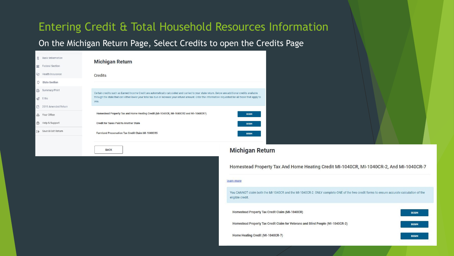#### Entering Credit & Total Household Resources Information

#### On the Michigan Return Page, Select Credits to open the Credits Page

| <b>Basic Information</b>                |                                                                                                                                                                |
|-----------------------------------------|----------------------------------------------------------------------------------------------------------------------------------------------------------------|
| <b>Federal Section</b><br>盒             | <b>Michigan Return</b>                                                                                                                                         |
| Ug<br>Health Insurance                  | <b>Credits</b>                                                                                                                                                 |
| <b>State Section</b><br>Ω               |                                                                                                                                                                |
| Summary/Print<br>8                      | Certain credits such as Earned Income Credit are automatically calculated and carried to your state return. Below are additional credits available             |
| $\oslash$ E-file                        | through the state that can either lower your total tax due or increase your refund amount. Enter the information requested for all those that apply to<br>you. |
| 2019 Amended Return                     |                                                                                                                                                                |
| Your Office<br>கி                       | Homestead Property Tax and Home Heating Credit (MI-1040CR, MI-1040CR2 and MI-1040CR7)<br><b>BFGIN</b>                                                          |
| Help & Support<br>(2)                   | <b>Credit for Taxes Paid to Another State</b><br><b>BEGIN</b>                                                                                                  |
| Save & Exit Return<br>$\leftrightarrow$ | <b>Farmland Preservation Tax Credit Claim MI-1040CR5</b>                                                                                                       |

**BACK** 

#### **Michigan Return**

Homestead Property Tax And Home Heating Credit MI-1040CR, MI-1040CR-2, And MI-1040CR-7

#### learn more

You CANNOT claim both the MI-1040CR and the MI-1040CR-2. ONLY complete ONE of the two credit forms to ensure accurate calculation of the eligible credit.

| Homestead Property Tax Credit Claim (MI-1040CR)                                 | <b>BEGIN</b> |
|---------------------------------------------------------------------------------|--------------|
| Homestead Property Tax Credit Claim for Veterans and Blind People (MI-1040CR-2) | <b>BEGIN</b> |
| Home Heating Credit (MI-1040CR-7)                                               | <b>BEGIN</b> |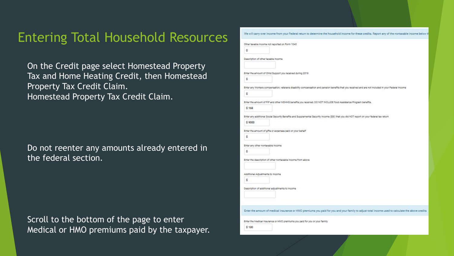#### Entering Total Household Resources

On the Credit page select Homestead Property Tax and Home Heating Credit, then Homestead Property Tax Credit Claim. Homestead Property Tax Credit Claim.

Do not reenter any amounts already entered in the federal section.

Scroll to the bottom of the page to enter Medical or HMO premiums paid by the taxpayer.

| We will carry over income from your Federal return to determine the household income for these credits. Report any of the nontaxable income below th |  |
|------------------------------------------------------------------------------------------------------------------------------------------------------|--|
| Other taxable income not reported on Form 1040                                                                                                       |  |
| ŝ                                                                                                                                                    |  |
| Description of other texable income                                                                                                                  |  |
|                                                                                                                                                      |  |
| Enter the amount of Child Support you received during 2019                                                                                           |  |
| ŝ                                                                                                                                                    |  |
| Enter any Workers compensation, veterans disability compensation and pension benefits that you received and are not included in your Federal Income  |  |
| ŝ                                                                                                                                                    |  |
| Enter the amount of FIP and other MDHHS benefits you received. DO NOT INCLUDE food Assistance Program benefits.                                      |  |
| \$168                                                                                                                                                |  |
| Enter any additional Social Security Benefits and Supplemental Security Income (SSI) that you did NOT report on your federal tax return              |  |
| \$9000                                                                                                                                               |  |
| Enter the amount of gifts or expenses paid on your behalf                                                                                            |  |
| ŝ                                                                                                                                                    |  |
| Enter any other nontexable income                                                                                                                    |  |
| Ŝ                                                                                                                                                    |  |
| Enter the description of other nontaxable income from above                                                                                          |  |
|                                                                                                                                                      |  |
| Additional Adjustments to income                                                                                                                     |  |
| Ŝ                                                                                                                                                    |  |
| Description of additional adjustments to income                                                                                                      |  |
|                                                                                                                                                      |  |
|                                                                                                                                                      |  |
| Enter the amount of medical insurance or HMO premiums you paid for you and your family to adjust total income used to calculate the above credits    |  |
| Enter the Medical Insurance or HMO premiums you paid for you or your family                                                                          |  |
| \$120                                                                                                                                                |  |
|                                                                                                                                                      |  |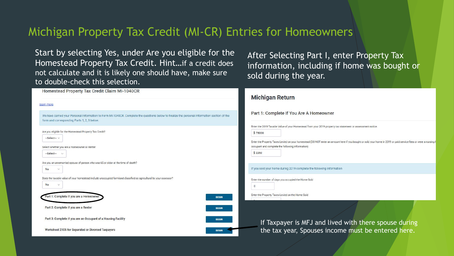#### Michigan Property Tax Credit (MI-CR) Entries for Homeowners

Start by selecting Yes, under Are you eligible for the Homestead Property Tax Credit. Hint…if a credit does not calculate and it is likely one should have, make sure to double-check this selection.

After Selecting Part I, enter Property Tax information, including if home was bought or sold during the year.

| Homestead Property Tax Credit Claim MI-1040CR                                                                                                                                                                                | <b>Michigan Return</b>                                                                                                                                                                                                                                                                                                                                        |  |  |
|------------------------------------------------------------------------------------------------------------------------------------------------------------------------------------------------------------------------------|---------------------------------------------------------------------------------------------------------------------------------------------------------------------------------------------------------------------------------------------------------------------------------------------------------------------------------------------------------------|--|--|
| earn more                                                                                                                                                                                                                    |                                                                                                                                                                                                                                                                                                                                                               |  |  |
| We have carried your Personal Information to Form MI-1040CR. Complete the questions below to finalize the personal information section of the<br>form and corresponding Parts 1, 2, 3 below.                                 | Part 1: Complete If You Are A Homeowner                                                                                                                                                                                                                                                                                                                       |  |  |
| Are you eligible for the Homestead Property Tax Credit?<br>--Select-- V<br>Select whether you are a Homeowner or Renter<br>--Select-- v<br>Are you an unremarried spouse of person who was 65 or older at the time of death? | Enter the 2019 Taxable Value of your Homestead from your 2019 property tax statement or assessment notice.<br>\$78000<br>Enter the Property Taxes Levied on your homestead (DO NOT enter an amount here if you bought or sold your home in 2019 or paid service fees or were a nursing h<br>occupant and complete the following information)<br><b>\$2250</b> |  |  |
| No<br>$\mathcal{L}$                                                                                                                                                                                                          | If you sold your home during 2019 complete the following information                                                                                                                                                                                                                                                                                          |  |  |
| Does the taxable value of your homestead include unoccupied farmland classified as agricultural by your assessor?<br>No<br>$\checkmark$                                                                                      | Enter the number of days you occupied the Home Sold<br>$\Omega$                                                                                                                                                                                                                                                                                               |  |  |
| Part 1: Complete if you are a Homeowner<br><b>BEGIN</b>                                                                                                                                                                      | Enter the Property Taxes Levied on the Home Sold                                                                                                                                                                                                                                                                                                              |  |  |
| Part 2: Complete if you are a Renter<br><b>BEGIN</b>                                                                                                                                                                         |                                                                                                                                                                                                                                                                                                                                                               |  |  |
| Part 3: Complete if you are an Occupant of a Housing Facility<br><b>BEGIN</b>                                                                                                                                                | If Taxpayer is MFJ and lived with there spouse during                                                                                                                                                                                                                                                                                                         |  |  |
| Worksheet 2105 for Separated or Divorced Taxpayers<br><b>BEGIN</b>                                                                                                                                                           | the tax year, Spouses income must be entered here.                                                                                                                                                                                                                                                                                                            |  |  |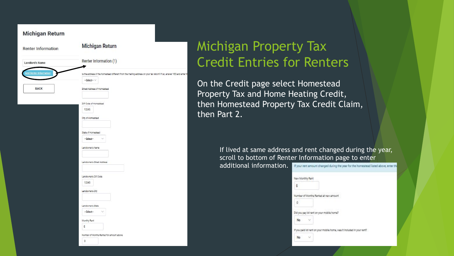

# Michigan Property Tax Credit Entries for Renters

On the Credit page select Homestead Property Tax and Home Heating Credit, then Homestead Property Tax Credit Claim, then Part 2.

> If lived at same address and rent changed during the year, scroll to bottom of Renter Information page to enter

additional information.

If your rent amount changed during the year for the homestead listed above, enter the

| New Monthly Rent |                                           |                                                                         |  |
|------------------|-------------------------------------------|-------------------------------------------------------------------------|--|
| ŝ                |                                           |                                                                         |  |
|                  | Number of Months Rented at new amount.    |                                                                         |  |
| 0                |                                           |                                                                         |  |
|                  | Did you pay lot rent on your mobile home? |                                                                         |  |
| No               |                                           |                                                                         |  |
|                  |                                           | If you paid lot rant on your mobile home, was it included in your rant? |  |
| No               |                                           |                                                                         |  |